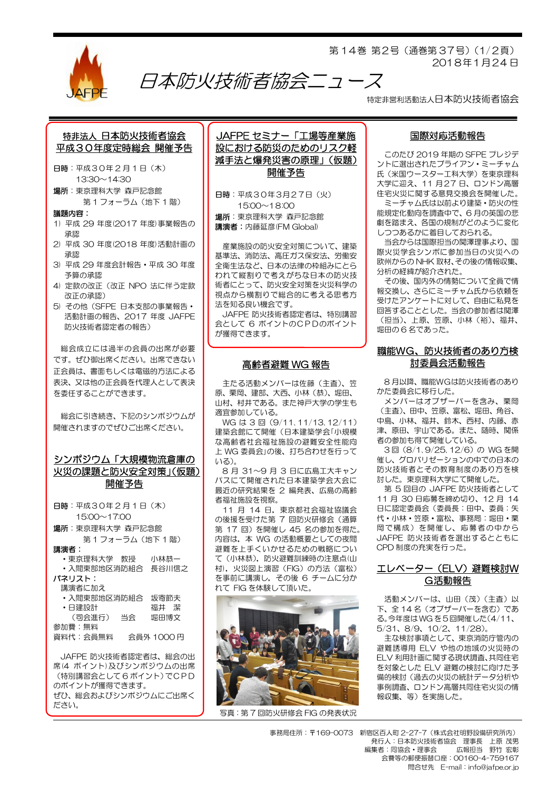

第 14巻 第2号(通巻第 37号)(1/2頁) 2018年1月24 日

特定非営利活動法人日本防火技術者協会

## 特非法人 日本防火技術者協会 平成30年度定時総会 開催予告

- 日時:平成30年 2 月 1 日(木) 13:30~14:30
- 場所:東京理科大学 森戸記念館 第1フォーラム (地下1階)
- 議題内容:
- 1) 平成 29 年度(2017 年度)事業報告の 承認
- 2) 平成 30 年度(2018 年度)活動計画の 承認
- 3) 平成 29 年度会計報告・平成 30 年度 予算の承認
- 4) 定款の改正(改正 NPO 法に伴う定款 改正の承認)
- 5) その他(SFPE 日本支部の事業報告・ 活動計画の報告、2017 年度 JAFPE 防火技術者認定者の報告)

総会成立には過半の会員の出席が必要 です。ぜひ御出席ください。出席できない 正会員は、書面もしくは電磁的方法による 表決、又は他の正会員を代理人として表決 を委任することができます。

総会に引き続き、下記のシンポジウムが 開催されますのでぜひご出席ください。

## シンポジウム「大規模物流倉庫の 火災の課題と防火安全対策」(仮題) 開催予告

| 日時:平成30年2月1日(木)         |    |            |
|-------------------------|----|------------|
| $15:00 \sim 17:00$      |    |            |
| <b>場所</b> :東京理科大学 森戸記念館 |    |            |
| 第1フォーラム (地下1階)          |    |            |
| 講演者:                    |    |            |
| • 東京理科大学 教授             |    | 小林恭一       |
| ・入間東部地区消防組合             |    | 長谷川信之      |
| パネリスト:                  |    |            |
| 講演者に加え                  |    |            |
| ・入間東部地区消防組合             |    | 坂寄節夫       |
| ・日建設計                   |    | 福井 潔       |
| (司会進行)                  | 当会 | 堀田博文       |
| 参加費:無料                  |    |            |
| 資料代:会員無料                |    | 会員外 1000 円 |

JAFPE 防火技術者認定者は、総会の出 席(4 ポイント)及びシンポジウムの出席 (特別講習会として 6 ポイント)でCPD のポイントが獲得できます。 ぜひ、総会およびシンポジウムにご出席く ださい。

JAFPE セミナー「工場等産業施 設における防災のためのリスク軽 減手法と爆発災害の原理」(仮題) 開催予告

日時:平成30年3月27日(火) 15:00~18:00 場所:東京理科大学 森戸記念館 講演者:内藤延彦(FM Global)

日本防火技術者協会ニュース

産業施設の防火安全対策について、建築 基準法、消防法、高圧ガス保安法、労働安 全衛生法など、日本の法律の枠組みにとら われて縦割りで考えがちな日本の防火技 術者にとって、防火安全対策を火災科学の 視点から横割りで総合的に考える思考方 法を知る良い機会です。

JAFPE 防火技術者認定者は、特別講習 会として 6 ポイントのCPDのポイント が獲得できます。

#### 高齢者避難 WG 報告

主たる活動メンバーは佐藤(主査)、笠 原、栗岡、建部、大西、小林(恭)、堀田、 山村、村井である。また神戸大学の学生も 適宜参加している。

WG は 3 回(9/11、11/13、12/11) 建築会館にて開催(日本建築学会「小規模 な高齢者社会福祉施設の避難安全性能向 上 WG 委員会」の後、打ち合わせを行って いる)。

8 月 31~9 月 3 日に広島工大キャン パスにて開催された日本建築学会大会に 最近の研究結果を 2 編発表、広島の高齢 者福祉施設を視察。

11 月 14 日,東京都社会福祉協議会 の後援を受けた第 7 回防火研修会(通算 第 17 回)を開催し 45 名の参加を得た。 内容は,本 WG の活動概要としての夜間 避難を上手くいかせるための戦略につい て(小林恭),防火避難訓練時の注意点(山 村),火災図上演習(FIG)の方法(富松) を事前に講演し,その後 6 チームに分か れて FIG を体験して頂いた。



写真:第 7 回防火研修会 FIG の発表状況

#### 国際対応活動報告

このたび 2019 年期の SFPE プレジデ ントに選出されたブライアン・ミーチャム 氏(米国ウースター工科大学)を東京理科 大学に迎え、11 月27 日、ロンドン高層 住宅火災に関する意見交換会を開催した。

ミーチャム氏は以前より建築・防火の性 能規定化動向を調査中で、6 月の英国の悲 劇を踏まえ、各国の規制がどのように変化 しつつあるかに着目しておられる。

当会からは国際担当の関澤理事より、国 際火災学会シンポに参加当日の火災への 欧州からの NHK 取材、その後の情報収集、 分析の経緯が紹介された。

その後、国内外の情勢について全員で情 報交換し、さらにミーチャム氏から依頼を 受けたアンケートに対して、自由に私見を 回答することとした。当会の参加者は関澤 (担当)、上原、笠原、小林(裕)、福井、 堀田の 6 名であった。

### 職能WG、防火技術者のあり方検 討委員会活動報告

8 月以降、職能WGは防火技術者のあり かた委員会に移行した。

メンバーはオブザーバーを含み、栗岡 (主査)、田中、笠原、富松、堀田、角谷、 中島、小林、福井、鈴木、西村、内藤、赤 津、原田、宇山である。また、随時、関係 者の参加も得て開催している。

3回 (8/1、9/25、12/6)の WG を開 催し、グロバリゼーションの中での日本の 防火技術者とその教育制度のあり方を検 討した。東京理科大学にて開催した。

第 5 回目の JAFPE 防火技術者として 11 月 30 日応募を締め切り、12 月 14 日に認定委員会(委員長:田中、委員:矢 代・小林・笠原・富松、事務局:堀田・栗 岡で構成)を開催し、応募者の中から JAFPE 防火技術者を選出するとともに CPD 制度の充実を行った。

### エレベーター(ELV)避難検討W G活動報告

活動メンバーは、山田(茂)(主査)以 下、全 14 名(オブザーバーを含む)であ る。今年度はWG を5 回開催した(4/11、 5/31、8/9、10/2、11/28)。

主な検討事項として、東京消防庁管内の 避難誘導用 ELV や他の地域の火災時の ELV 利用計画に関する現状調査、共同住宅 を対象とした ELV 避難の検討に向けた予 備的検討(過去の火災の統計データ分析や 事例調査、ロンドン高層共同住宅火災の情 報収集、等)を実施した。

事務局住所:〒169-0073 新宿区百人町 2-27-7(株式会社明野設備研究所内) 発行人:日本防火技術者協会 理事長 上原 茂男